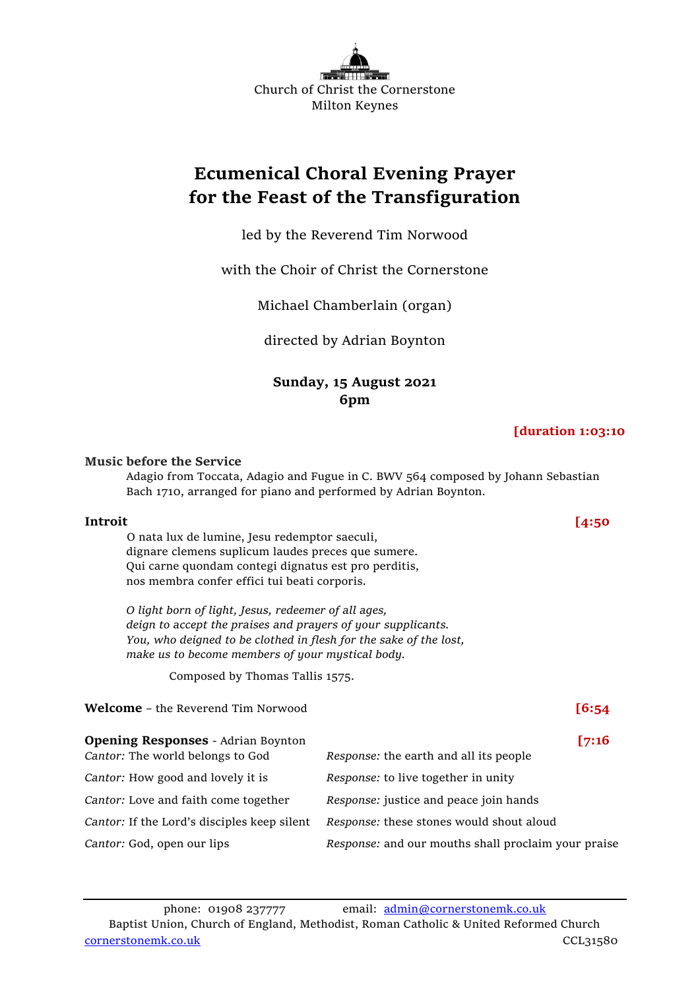## **Ecumenical Choral Evening Prayer for the Feast of the Transfiguration**

#### led by the Reverend Tim Norwood

### with the Choir of Christ the Cornerstone

### Michael Chamberlain (organ)

directed by Adrian Boynton

### **Sunday, 15 August 2021 6pm**

### **[duration 1:03:10**

#### **Music before the Service**

Adagio from Toccata, Adagio and Fugue in C. BWV 564 composed by Johann Sebastian Bach 1710, arranged for piano and performed by Adrian Boynton.

#### **Introit [4:50**

O nata lux de lumine, Jesu redemptor saeculi, dignare clemens suplicum laudes preces que sumere. Qui carne quondam contegi dignatus est pro perditis, nos membra confer effici tui beati corporis.

*O light born of light, Jesus, redeemer of all ages, deign to accept the praises and prayers of your supplicants. You, who deigned to be clothed in flesh for the sake of the lost, make us to become members of your mystical body.*

Composed by Thomas Tallis 1575.

## **Welcome** – the Reverend Tim Norwood **[6:54 Opening Responses** - Adrian Boynton *p p p p p p p p p p p p p p p p p p p p p p p p p p p p p p p Cantor:* The world belongs to God *Response:* the earth and all its people *Cantor:* How good and lovely it is *Response:* to live together in unity *Cantor:* Love and faith come together *Response:* justice and peace join hands *Cantor:* If the Lord's disciples keep silent *Response:* these stones would shout aloud *Cantor:* God, open our lips *Response:* and our mouths shall proclaim your praise

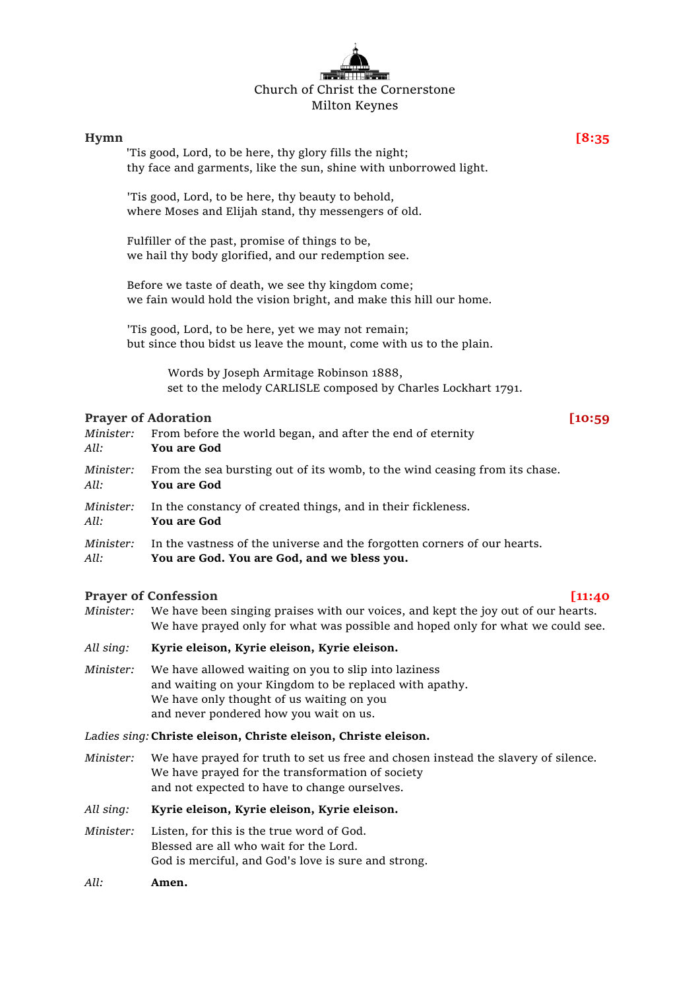#### **Hymn [8:35**

'Tis good, Lord, to be here, thy glory fills the night; thy face and garments, like the sun, shine with unborrowed light.

'Tis good, Lord, to be here, thy beauty to behold, where Moses and Elijah stand, thy messengers of old.

Fulfiller of the past, promise of things to be, we hail thy body glorified, and our redemption see.

Before we taste of death, we see thy kingdom come; we fain would hold the vision bright, and make this hill our home.

'Tis good, Lord, to be here, yet we may not remain; but since thou bidst us leave the mount, come with us to the plain.

> Words by Joseph Armitage Robinson 1888, set to the melody CARLISLE composed by Charles Lockhart 1791.

#### **Prayer of Adoration [10:59**

| Minister: | From before the world began, and after the end of eternity                 |
|-----------|----------------------------------------------------------------------------|
| All:      | <b>You are God</b>                                                         |
| Minister: | From the sea bursting out of its womb, to the wind ceasing from its chase. |
| All:      | <b>You are God</b>                                                         |
| Minister: | In the constancy of created things, and in their fickleness.               |
| All:      | <b>You are God</b>                                                         |
| Minister: | In the vastness of the universe and the forgotten corners of our hearts.   |
| All:      | You are God. You are God, and we bless you.                                |

#### **Prayer of Confession** *contract and the confession contract and the confession* **<b>***confession confession*

- *Minister:* We have been singing praises with our voices, and kept the joy out of our hearts. We have prayed only for what was possible and hoped only for what we could see.
- *All sing:* **Kyrie eleison, Kyrie eleison, Kyrie eleison.**
- *Minister:* We have allowed waiting on you to slip into laziness and waiting on your Kingdom to be replaced with apathy. We have only thought of us waiting on you and never pondered how you wait on us.

#### *Ladies sing:***Christe eleison, Christe eleison, Christe eleison.**

*Minister:* We have prayed for truth to set us free and chosen instead the slavery of silence. We have prayed for the transformation of society and not expected to have to change ourselves.

#### *All sing:* **Kyrie eleison, Kyrie eleison, Kyrie eleison.**

- *Minister:* Listen, for this is the true word of God. Blessed are all who wait for the Lord. God is merciful, and God's love is sure and strong.
- *All:* **Amen.**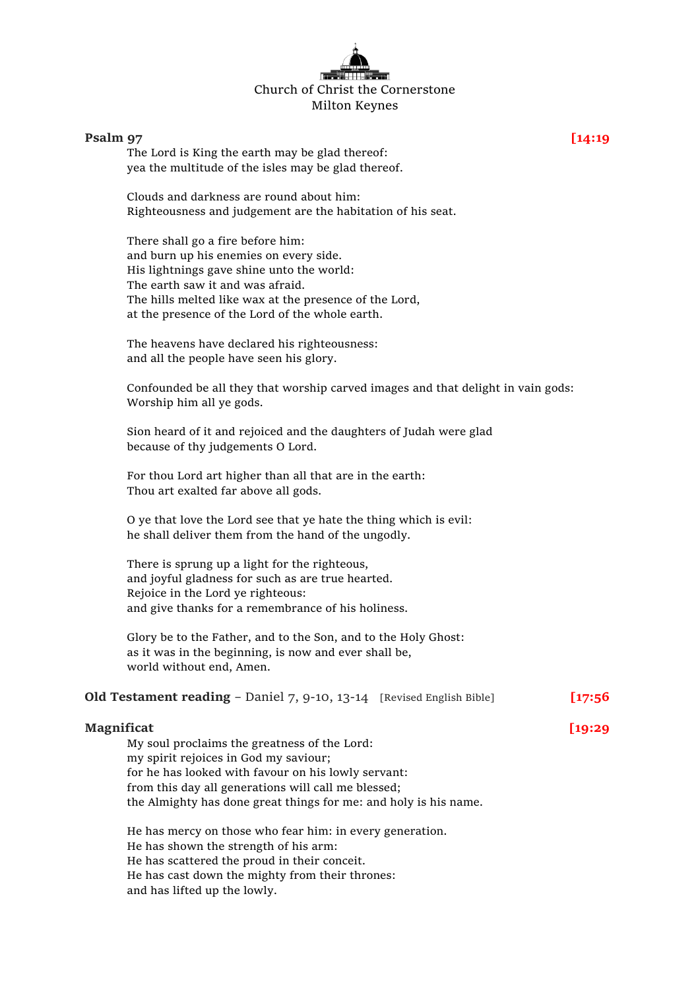#### **Psalm 97 [14:19**

The Lord is King the earth may be glad thereof: yea the multitude of the isles may be glad thereof.

Clouds and darkness are round about him: Righteousness and judgement are the habitation of his seat.

There shall go a fire before him: and burn up his enemies on every side. His lightnings gave shine unto the world: The earth saw it and was afraid. The hills melted like wax at the presence of the Lord, at the presence of the Lord of the whole earth.

The heavens have declared his righteousness: and all the people have seen his glory.

Confounded be all they that worship carved images and that delight in vain gods: Worship him all ye gods.

Sion heard of it and rejoiced and the daughters of Judah were glad because of thy judgements O Lord.

For thou Lord art higher than all that are in the earth: Thou art exalted far above all gods.

O ye that love the Lord see that ye hate the thing which is evil: he shall deliver them from the hand of the ungodly.

There is sprung up a light for the righteous, and joyful gladness for such as are true hearted. Rejoice in the Lord ye righteous: and give thanks for a remembrance of his holiness.

Glory be to the Father, and to the Son, and to the Holy Ghost: as it was in the beginning, is now and ever shall be, world without end, Amen.

#### **Old Testament reading** – Daniel 7, 9-10, 13-14 [Revised English Bible] **[17:56**

#### **Magnificat [19:29**

My soul proclaims the greatness of the Lord: my spirit rejoices in God my saviour; for he has looked with favour on his lowly servant: from this day all generations will call me blessed; the Almighty has done great things for me: and holy is his name.

He has mercy on those who fear him: in every generation. He has shown the strength of his arm: He has scattered the proud in their conceit. He has cast down the mighty from their thrones: and has lifted up the lowly.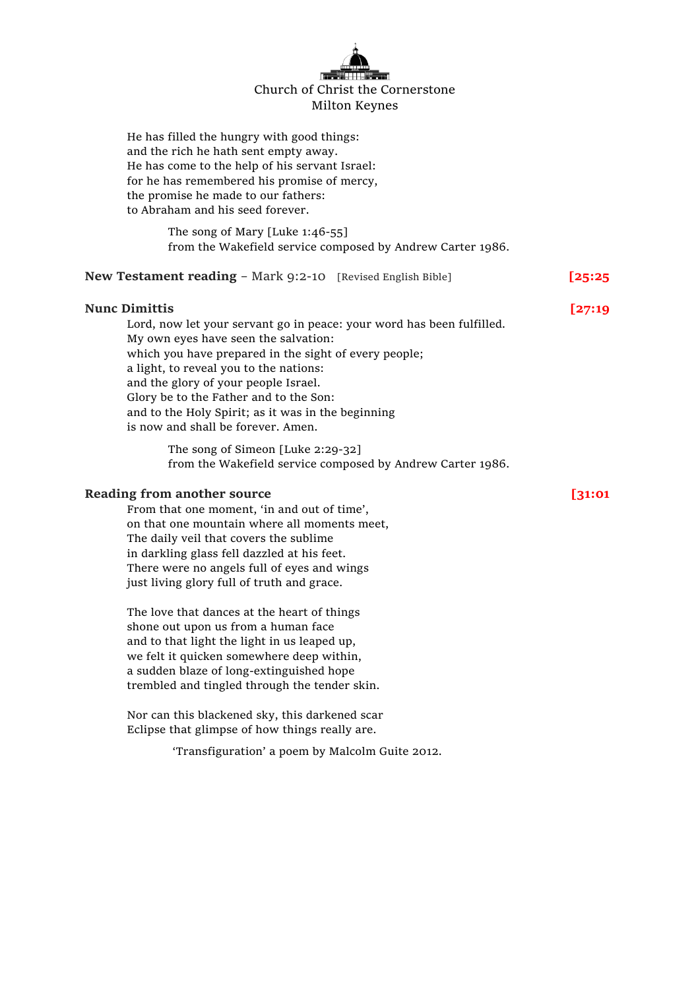He has filled the hungry with good things: and the rich he hath sent empty away. He has come to the help of his servant Israel: for he has remembered his promise of mercy, the promise he made to our fathers: to Abraham and his seed forever.

> The song of Mary [Luke 1:46-55] from the Wakefield service composed by Andrew Carter 1986.

| New Testament reading - Mark 9:2-10 [Revised English Bible]                                                                                                                                                                                                                                                                                                                                                            |           |  |
|------------------------------------------------------------------------------------------------------------------------------------------------------------------------------------------------------------------------------------------------------------------------------------------------------------------------------------------------------------------------------------------------------------------------|-----------|--|
| <b>Nunc Dimittis</b><br>Lord, now let your servant go in peace: your word has been fulfilled.<br>My own eyes have seen the salvation:<br>which you have prepared in the sight of every people;<br>a light, to reveal you to the nations:<br>and the glory of your people Israel.<br>Glory be to the Father and to the Son:<br>and to the Holy Spirit; as it was in the beginning<br>is now and shall be forever. Amen. | $[27:19]$ |  |
| The song of Simeon [Luke 2:29-32]<br>from the Wakefield service composed by Andrew Carter 1986.                                                                                                                                                                                                                                                                                                                        |           |  |
| Reading from another source<br>From that one moment, 'in and out of time',<br>on that one mountain where all moments meet,<br>The daily veil that covers the sublime<br>in darkling glass fell dazzled at his feet.<br>There were no angels full of eyes and wings<br>just living glory full of truth and grace.                                                                                                       | [31:01]   |  |
| The love that dances at the heart of things<br>shone out upon us from a human face<br>and to that light the light in us leaped up,<br>we felt it quicken somewhere deep within,<br>a sudden blaze of long-extinguished hope<br>trembled and tingled through the tender skin.                                                                                                                                           |           |  |
| Nor can this blackened sky, this darkened scar<br>Eclipse that glimpse of how things really are.                                                                                                                                                                                                                                                                                                                       |           |  |
| 'Transfiguration' a poem by Malcolm Guite 2012.                                                                                                                                                                                                                                                                                                                                                                        |           |  |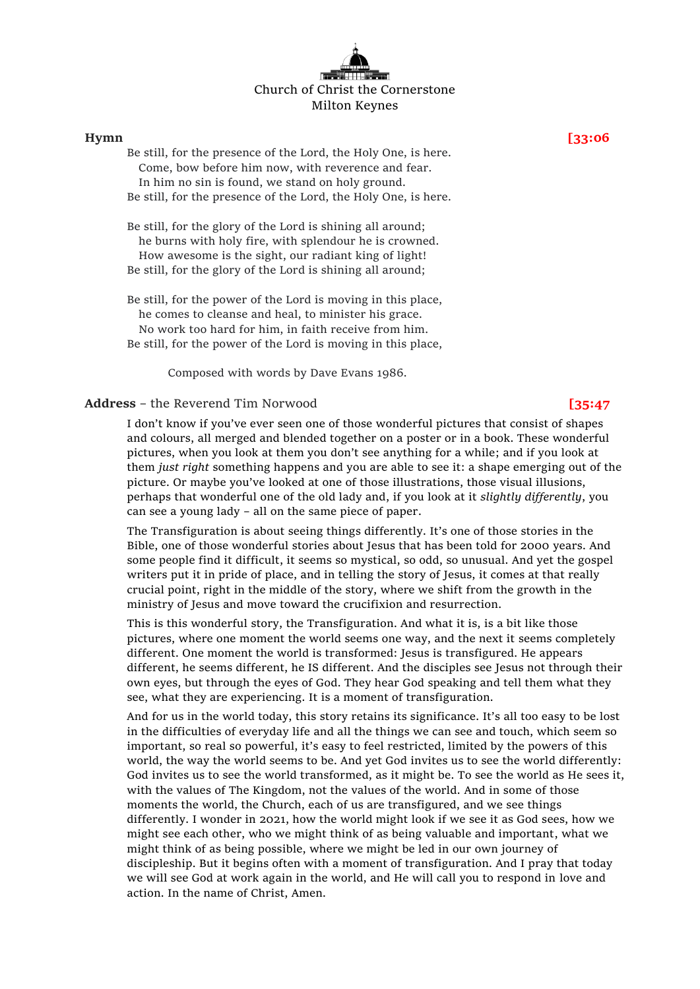Be still, for the presence of the Lord, the Holy One, is here. Come, bow before him now, with reverence and fear. In him no sin is found, we stand on holy ground. Be still, for the presence of the Lord, the Holy One, is here.

Be still, for the glory of the Lord is shining all around; he burns with holy fire, with splendour he is crowned. How awesome is the sight, our radiant king of light! Be still, for the glory of the Lord is shining all around;

Be still, for the power of the Lord is moving in this place, he comes to cleanse and heal, to minister his grace. No work too hard for him, in faith receive from him. Be still, for the power of the Lord is moving in this place,

Composed with words by Dave Evans 1986.

#### **Address** – the Reverend Tim Norwood **[35:47**

I don't know if you've ever seen one of those wonderful pictures that consist of shapes and colours, all merged and blended together on a poster or in a book. These wonderful pictures, when you look at them you don't see anything for a while; and if you look at them *just right* something happens and you are able to see it: a shape emerging out of the picture. Or maybe you've looked at one of those illustrations, those visual illusions, perhaps that wonderful one of the old lady and, if you look at it *slightly differently*, you can see a young lady – all on the same piece of paper.

The Transfiguration is about seeing things differently. It's one of those stories in the Bible, one of those wonderful stories about Jesus that has been told for 2000 years. And some people find it difficult, it seems so mystical, so odd, so unusual. And yet the gospel writers put it in pride of place, and in telling the story of Jesus, it comes at that really crucial point, right in the middle of the story, where we shift from the growth in the ministry of Jesus and move toward the crucifixion and resurrection.

This is this wonderful story, the Transfiguration. And what it is, is a bit like those pictures, where one moment the world seems one way, and the next it seems completely different. One moment the world is transformed: Jesus is transfigured. He appears different, he seems different, he IS different. And the disciples see Jesus not through their own eyes, but through the eyes of God. They hear God speaking and tell them what they see, what they are experiencing. It is a moment of transfiguration.

And for us in the world today, this story retains its significance. It's all too easy to be lost in the difficulties of everyday life and all the things we can see and touch, which seem so important, so real so powerful, it's easy to feel restricted, limited by the powers of this world, the way the world seems to be. And yet God invites us to see the world differently: God invites us to see the world transformed, as it might be. To see the world as He sees it, with the values of The Kingdom, not the values of the world. And in some of those moments the world, the Church, each of us are transfigured, and we see things differently. I wonder in 2021, how the world might look if we see it as God sees, how we might see each other, who we might think of as being valuable and important, what we might think of as being possible, where we might be led in our own journey of discipleship. But it begins often with a moment of transfiguration. And I pray that today we will see God at work again in the world, and He will call you to respond in love and action. In the name of Christ, Amen.

#### **Hymn [33:06**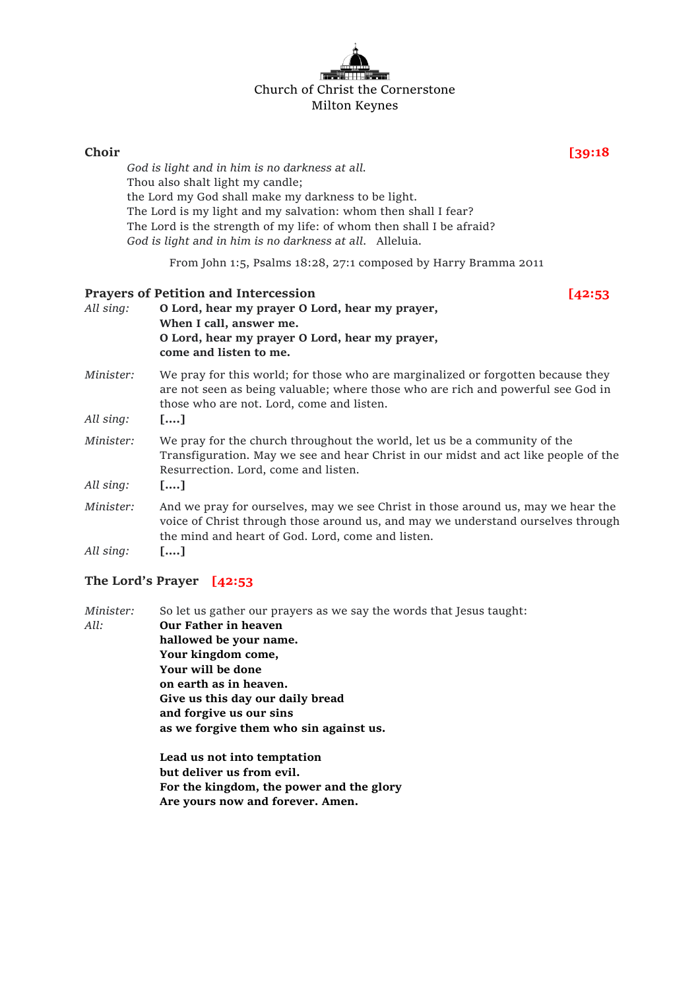| Choir                                          |                                                                                                                                                                                                                           | [39:18 |
|------------------------------------------------|---------------------------------------------------------------------------------------------------------------------------------------------------------------------------------------------------------------------------|--------|
| God is light and in him is no darkness at all. |                                                                                                                                                                                                                           |        |
|                                                | Thou also shalt light my candle;                                                                                                                                                                                          |        |
|                                                | the Lord my God shall make my darkness to be light.                                                                                                                                                                       |        |
|                                                | The Lord is my light and my salvation: whom then shall I fear?                                                                                                                                                            |        |
|                                                | The Lord is the strength of my life: of whom then shall I be afraid?                                                                                                                                                      |        |
|                                                | God is light and in him is no darkness at all. Alleluia.                                                                                                                                                                  |        |
|                                                | From John 1:5, Psalms 18:28, 27:1 composed by Harry Bramma 2011                                                                                                                                                           |        |
|                                                | <b>Prayers of Petition and Intercession</b>                                                                                                                                                                               | [42:53 |
| All sing:                                      | O Lord, hear my prayer O Lord, hear my prayer,                                                                                                                                                                            |        |
|                                                | When I call, answer me.                                                                                                                                                                                                   |        |
|                                                | O Lord, hear my prayer O Lord, hear my prayer,                                                                                                                                                                            |        |
|                                                | come and listen to me.                                                                                                                                                                                                    |        |
| Minister:                                      | We pray for this world; for those who are marginalized or forgotten because they<br>are not seen as being valuable; where those who are rich and powerful see God in<br>those who are not. Lord, come and listen.         |        |
| All sing:                                      | []                                                                                                                                                                                                                        |        |
| Minister:                                      | We pray for the church throughout the world, let us be a community of the<br>Transfiguration. May we see and hear Christ in our midst and act like people of the<br>Resurrection. Lord, come and listen.                  |        |
| All sing:                                      | []                                                                                                                                                                                                                        |        |
| <i>Minister:</i>                               | And we pray for ourselves, may we see Christ in those around us, may we hear the<br>voice of Christ through those around us, and may we understand ourselves through<br>the mind and heart of God. Lord, come and listen. |        |
| All sing:                                      | []                                                                                                                                                                                                                        |        |

## **The Lord's Prayer [42:53**

| Minister: | So let us gather our prayers as we say the words that Jesus taught: |
|-----------|---------------------------------------------------------------------|
| All:      | Our Father in heaven                                                |
|           | hallowed be your name.                                              |
|           | Your kingdom come,                                                  |
|           | Your will be done                                                   |
|           | on earth as in heaven.                                              |
|           | Give us this day our daily bread                                    |
|           | and forgive us our sins                                             |
|           | as we forgive them who sin against us.                              |
|           | Lead us not into temptation                                         |
|           | but deliver us from evil.                                           |
|           | For the kingdom, the power and the glory                            |

**Are yours now and forever. Amen.**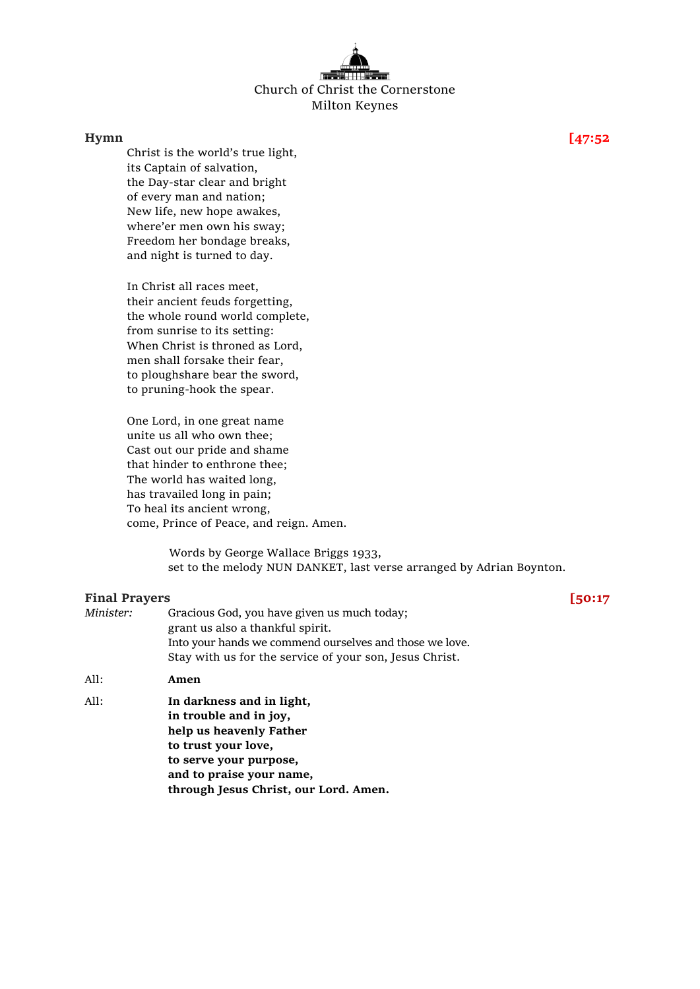Christ is the world's true light, its Captain of salvation, the Day-star clear and bright of every man and nation; New life, new hope awakes, where'er men own his sway; Freedom her bondage breaks, and night is turned to day.

In Christ all races meet, their ancient feuds forgetting, the whole round world complete, from sunrise to its setting: When Christ is throned as Lord, men shall forsake their fear, to ploughshare bear the sword, to pruning-hook the spear.

One Lord, in one great name unite us all who own thee; Cast out our pride and shame that hinder to enthrone thee; The world has waited long, has travailed long in pain; To heal its ancient wrong, come, Prince of Peace, and reign. Amen.

> Words by George Wallace Briggs 1933, set to the melody NUN DANKET, last verse arranged by Adrian Boynton.

#### **Final Prayers [50:17**

| $\lambda$ 11 $\cdot$ | $\lambda$ man                                           |
|----------------------|---------------------------------------------------------|
|                      | Stay with us for the service of your son, Jesus Christ. |
|                      | Into your hands we commend ourselves and those we love. |
|                      | grant us also a thankful spirit.                        |
| Minister:            | Gracious God, you have given us much today;             |

All: **Amen**

All: **In darkness and in light, in trouble and in joy, help us heavenly Father to trust your love, to serve your purpose, and to praise your name, through Jesus Christ, our Lord. Amen.**

**Hymn [47:52**